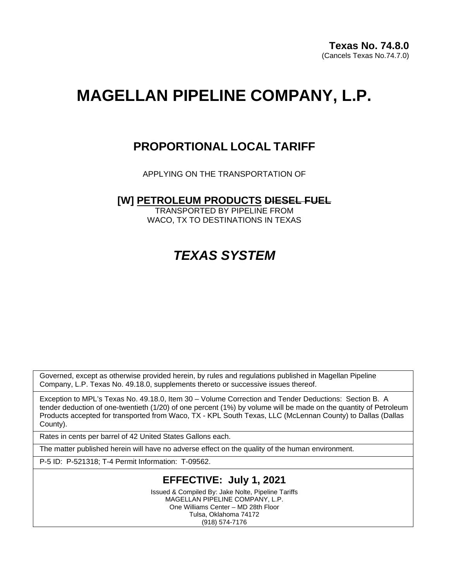# **MAGELLAN PIPELINE COMPANY, L.P.**

## **PROPORTIONAL LOCAL TARIFF**

APPLYING ON THE TRANSPORTATION OF

### **[W] PETROLEUM PRODUCTS DIESEL FUEL**

TRANSPORTED BY PIPELINE FROM WACO, TX TO DESTINATIONS IN TEXAS

## *TEXAS SYSTEM*

Governed, except as otherwise provided herein, by rules and regulations published in Magellan Pipeline Company, L.P. Texas No. 49.18.0, supplements thereto or successive issues thereof.

Exception to MPL's Texas No. 49.18.0, Item 30 – Volume Correction and Tender Deductions: Section B. A tender deduction of one-twentieth (1/20) of one percent (1%) by volume will be made on the quantity of Petroleum Products accepted for transported from Waco, TX - KPL South Texas, LLC (McLennan County) to Dallas (Dallas County).

Rates in cents per barrel of 42 United States Gallons each.

The matter published herein will have no adverse effect on the quality of the human environment.

P-5 ID: P-521318; T-4 Permit Information: T-09562.

### **EFFECTIVE: July 1, 2021**

Issued & Compiled By: Jake Nolte, Pipeline Tariffs MAGELLAN PIPELINE COMPANY, L.P. One Williams Center – MD 28th Floor Tulsa, Oklahoma 74172 (918) 574-7176